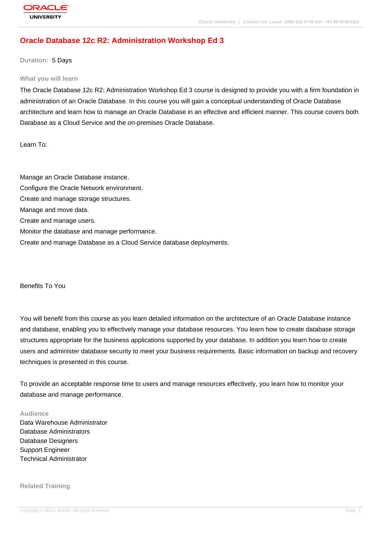# **[Oracle Databas](http://education.oracle.com/pls/web_prod-plq-dad/db_pages.getpage?page_id=3)e 12c R2: Administration Workshop Ed 3**

**Duration:** 5 Days

#### **What you will learn**

The Oracle Database 12c R2: Administration Workshop Ed 3 course is designed to provide you with a firm foundation in administration of an Oracle Database. In this course you will gain a conceptual understanding of Oracle Database architecture and learn how to manage an Oracle Database in an effective and efficient manner. This course covers both Database as a Cloud Service and the on-premises Oracle Database.

Learn To:

Manage an Oracle Database instance. Configure the Oracle Network environment. Create and manage storage structures. Manage and move data. Create and manage users. Monitor the database and manage performance. Create and manage Database as a Cloud Service database deployments.

Benefits To You

You will benefit from this course as you learn detailed information on the architecture of an Oracle Database instance and database, enabling you to effectively manage your database resources. You learn how to create database storage structures appropriate for the business applications supported by your database. In addition you learn how to create users and administer database security to meet your business requirements. Basic information on backup and recovery techniques is presented in this course.

To provide an acceptable response time to users and manage resources effectively, you learn how to monitor your database and manage performance.

#### **Audience**

Data Warehouse Administrator Database Administrators Database Designers Support Engineer Technical Administrator

#### **Related Training**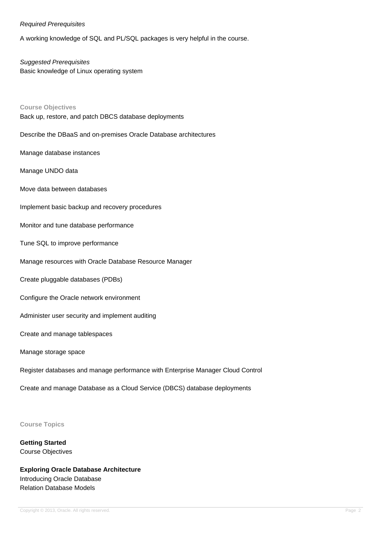#### Required Prerequisites

A working knowledge of SQL and PL/SQL packages is very helpful in the course.

Suggested Prerequisites Basic knowledge of Linux operating system

**Course Objectives** Back up, restore, and patch DBCS database deployments

Describe the DBaaS and on-premises Oracle Database architectures

Manage database instances

Manage UNDO data

Move data between databases

Implement basic backup and recovery procedures

Monitor and tune database performance

Tune SQL to improve performance

Manage resources with Oracle Database Resource Manager

Create pluggable databases (PDBs)

Configure the Oracle network environment

Administer user security and implement auditing

Create and manage tablespaces

Manage storage space

Register databases and manage performance with Enterprise Manager Cloud Control

Create and manage Database as a Cloud Service (DBCS) database deployments

**Course Topics**

**Getting Started** Course Objectives

**Exploring Oracle Database Architecture** Introducing Oracle Database Relation Database Models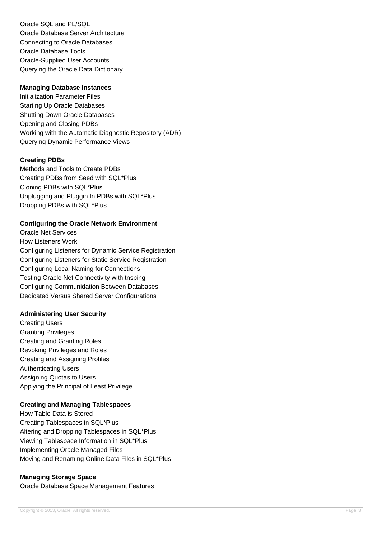Oracle SQL and PL/SQL Oracle Database Server Architecture Connecting to Oracle Databases Oracle Database Tools Oracle-Supplied User Accounts Querying the Oracle Data Dictionary

#### **Managing Database Instances**

Initialization Parameter Files Starting Up Oracle Databases Shutting Down Oracle Databases Opening and Closing PDBs Working with the Automatic Diagnostic Repository (ADR) Querying Dynamic Performance Views

## **Creating PDBs**

Methods and Tools to Create PDBs Creating PDBs from Seed with SQL\*Plus Cloning PDBs with SQL\*Plus Unplugging and Pluggin In PDBs with SQL\*Plus Dropping PDBs with SQL\*Plus

## **Configuring the Oracle Network Environment**

Oracle Net Services How Listeners Work Configuring Listeners for Dynamic Service Registration Configuring Listeners for Static Service Registration Configuring Local Naming for Connections Testing Oracle Net Connectivity with tnsping Configuring Communidation Between Databases Dedicated Versus Shared Server Configurations

#### **Administering User Security**

Creating Users Granting Privileges Creating and Granting Roles Revoking Privileges and Roles Creating and Assigning Profiles Authenticating Users Assigning Quotas to Users Applying the Principal of Least Privilege

#### **Creating and Managing Tablespaces**

How Table Data is Stored Creating Tablespaces in SQL\*Plus Altering and Dropping Tablespaces in SQL\*Plus Viewing Tablespace Information in SQL\*Plus Implementing Oracle Managed Files Moving and Renaming Online Data Files in SQL\*Plus

## **Managing Storage Space**

Oracle Database Space Management Features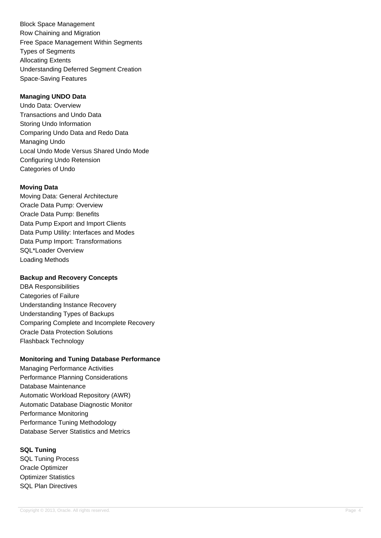Block Space Management Row Chaining and Migration Free Space Management Within Segments Types of Segments Allocating Extents Understanding Deferred Segment Creation Space-Saving Features

# **Managing UNDO Data**

Undo Data: Overview Transactions and Undo Data Storing Undo Information Comparing Undo Data and Redo Data Managing Undo Local Undo Mode Versus Shared Undo Mode Configuring Undo Retension Categories of Undo

## **Moving Data**

Moving Data: General Architecture Oracle Data Pump: Overview Oracle Data Pump: Benefits Data Pump Export and Import Clients Data Pump Utility: Interfaces and Modes Data Pump Import: Transformations SQL\*Loader Overview Loading Methods

## **Backup and Recovery Concepts**

DBA Responsibilities Categories of Failure Understanding Instance Recovery Understanding Types of Backups Comparing Complete and Incomplete Recovery Oracle Data Protection Solutions Flashback Technology

## **Monitoring and Tuning Database Performance**

Managing Performance Activities Performance Planning Considerations Database Maintenance Automatic Workload Repository (AWR) Automatic Database Diagnostic Monitor Performance Monitoring Performance Tuning Methodology Database Server Statistics and Metrics

**SQL Tuning** SQL Tuning Process Oracle Optimizer Optimizer Statistics SQL Plan Directives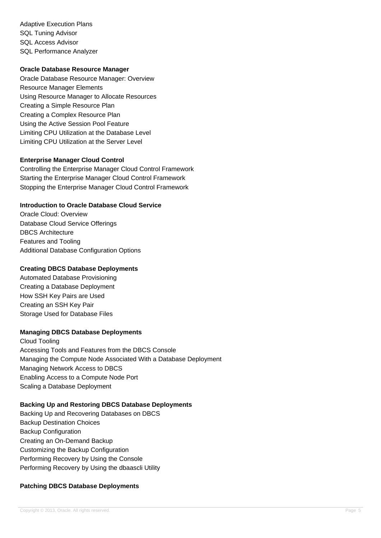Adaptive Execution Plans SQL Tuning Advisor SQL Access Advisor SQL Performance Analyzer

#### **Oracle Database Resource Manager**

Oracle Database Resource Manager: Overview Resource Manager Elements Using Resource Manager to Allocate Resources Creating a Simple Resource Plan Creating a Complex Resource Plan Using the Active Session Pool Feature Limiting CPU Utilization at the Database Level Limiting CPU Utilization at the Server Level

## **Enterprise Manager Cloud Control**

Controlling the Enterprise Manager Cloud Control Framework Starting the Enterprise Manager Cloud Control Framework Stopping the Enterprise Manager Cloud Control Framework

## **Introduction to Oracle Database Cloud Service**

Oracle Cloud: Overview Database Cloud Service Offerings DBCS Architecture Features and Tooling Additional Database Configuration Options

#### **Creating DBCS Database Deployments**

Automated Database Provisioning Creating a Database Deployment How SSH Key Pairs are Used Creating an SSH Key Pair Storage Used for Database Files

## **Managing DBCS Database Deployments**

Cloud Tooling Accessing Tools and Features from the DBCS Console Managing the Compute Node Associated With a Database Deployment Managing Network Access to DBCS Enabling Access to a Compute Node Port Scaling a Database Deployment

#### **Backing Up and Restoring DBCS Database Deployments**

Backing Up and Recovering Databases on DBCS Backup Destination Choices Backup Configuration Creating an On-Demand Backup Customizing the Backup Configuration Performing Recovery by Using the Console Performing Recovery by Using the dbaascli Utility

## **Patching DBCS Database Deployments**